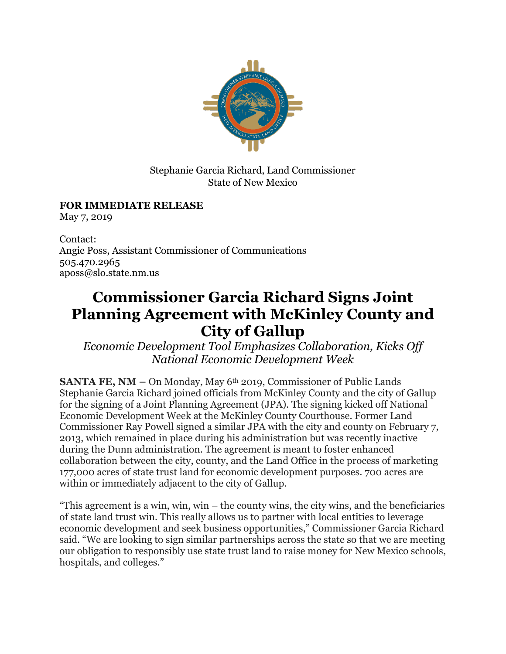

Stephanie Garcia Richard, Land Commissioner State of New Mexico

## **FOR IMMEDIATE RELEASE**

May 7, 2019

Contact: Angie Poss, Assistant Commissioner of Communications 505.470.2965 aposs@slo.state.nm.us

## **Commissioner Garcia Richard Signs Joint Planning Agreement with McKinley County and City of Gallup**

*Economic Development Tool Emphasizes Collaboration, Kicks Off National Economic Development Week*

**SANTA FE, NM –** On Monday, May 6th 2019, Commissioner of Public Lands Stephanie Garcia Richard joined officials from McKinley County and the city of Gallup for the signing of a Joint Planning Agreement (JPA). The signing kicked off National Economic Development Week at the McKinley County Courthouse. Former Land Commissioner Ray Powell signed a similar JPA with the city and county on February 7, 2013, which remained in place during his administration but was recently inactive during the Dunn administration. The agreement is meant to foster enhanced collaboration between the city, county, and the Land Office in the process of marketing 177,000 acres of state trust land for economic development purposes. 700 acres are within or immediately adjacent to the city of Gallup.

"This agreement is a win, win, win – the county wins, the city wins, and the beneficiaries of state land trust win. This really allows us to partner with local entities to leverage economic development and seek business opportunities," Commissioner Garcia Richard said. "We are looking to sign similar partnerships across the state so that we are meeting our obligation to responsibly use state trust land to raise money for New Mexico schools, hospitals, and colleges."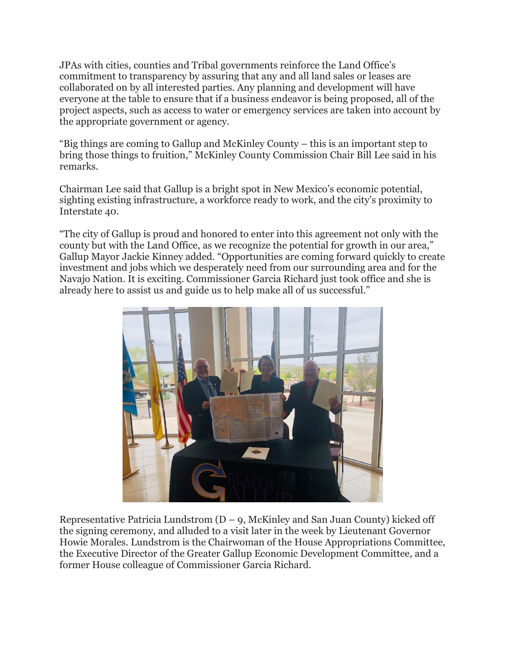JPAs with cities, counties and Tribal governments reinforce the Land Office's commitment to transparency by assuring that any and all land sales or leases are collaborated on by all interested parties. Any planning and development will have everyone at the table to ensure that if a business endeavor is being proposed, all of the project aspects, such as access to water or emergency services are taken into account by the appropriate government or agency.

"Big things are coming to Gallup and McKinley County – this is an important step to bring those things to fruition," McKinley County Commission Chair Bill Lee said in his remarks.

Chairman Lee said that Gallup is a bright spot in New Mexico's economic potential, sighting existing infrastructure, a workforce ready to work, and the city's proximity to Interstate 40.

"The city of Gallup is proud and honored to enter into this agreement not only with the county but with the Land Office, as we recognize the potential for growth in our area," Gallup Mayor Jackie Kinney added. "Opportunities are coming forward quickly to create investment and jobs which we desperately need from our surrounding area and for the Navajo Nation. It is exciting. Commissioner Garcia Richard just took office and she is already here to assist us and guide us to help make all of us successful."



Representative Patricia Lundstrom  $(D - q)$ , McKinley and San Juan County) kicked off the signing ceremony, and alluded to a visit later in the week by Lieutenant Governor Howie Morales. Lundstrom is the Chairwoman of the House Appropriations Committee, the Executive Director of the Greater Gallup Economic Development Committee, and a former House colleague of Commissioner Garcia Richard.